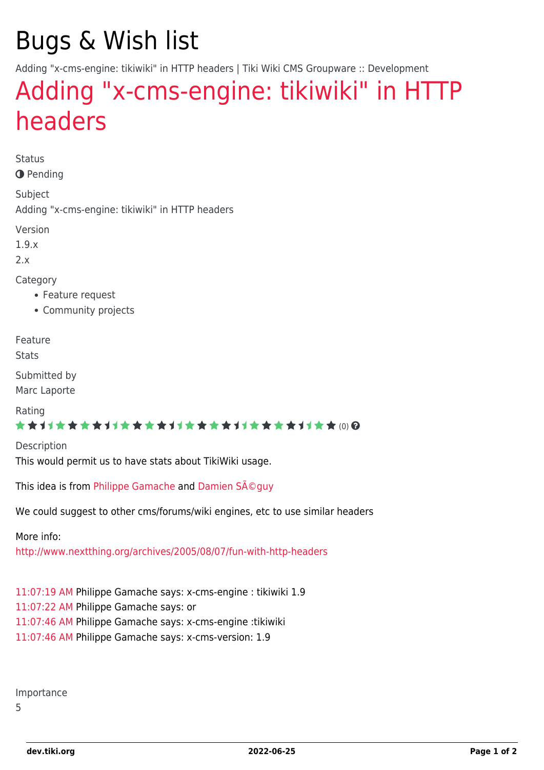## Bugs & Wish list

Adding "x-cms-engine: tikiwiki" in HTTP headers | Tiki Wiki CMS Groupware :: Development

## [Adding "x-cms-engine: tikiwiki" in HTTP](https://dev.tiki.org/item1553-Adding-x-cms-engine-tikiwiki-in-HTTP-headers) [headers](https://dev.tiki.org/item1553-Adding-x-cms-engine-tikiwiki-in-HTTP-headers)

Status

**O** Pending

Subject

Adding "x-cms-engine: tikiwiki" in HTTP headers

Version

1.9.x

 $2x$ 

Category

- Feature request
- Community projects

Feature

**Stats** 

Submitted by Marc Laporte

Rating

\*\*\*\*\*\*\*\*\*\*\*\*\*\*\*\*\*\*\*\*\*\*\*\*\*\*\*\*\*\*

**Description** This would permit us to have stats about TikiWiki usage.

This idea is from [Philippe Gamache](http://www.phportail.net/) and Damien Séquy

We could suggest to other cms/forums/wiki engines, etc to use similar headers

More info:

<http://www.nextthing.org/archives/2005/08/07/fun-with-http-headers>

[11:07:19 AM](#page--1-0) Philippe Gamache says: x-cms-engine : tikiwiki 1.9 [11:07:22 AM](#page--1-0) Philippe Gamache says: or [11:07:46 AM](#page--1-0) Philippe Gamache says: x-cms-engine :tikiwiki [11:07:46 AM](#page--1-0) Philippe Gamache says: x-cms-version: 1.9

Importance

5